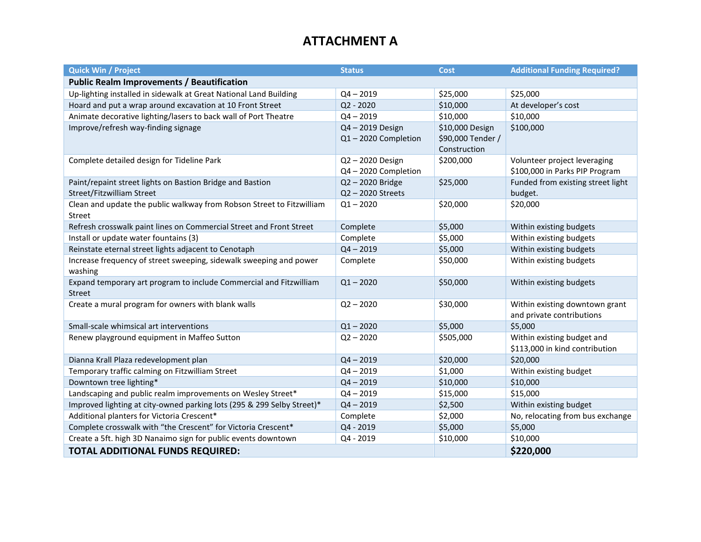## **ATTACHMENT A**

| <b>Quick Win / Project</b>                                             | <b>Status</b>      | Cost              | <b>Additional Funding Required?</b>  |
|------------------------------------------------------------------------|--------------------|-------------------|--------------------------------------|
| <b>Public Realm Improvements / Beautification</b>                      |                    |                   |                                      |
| Up-lighting installed in sidewalk at Great National Land Building      | $Q4 - 2019$        | \$25,000          | \$25,000                             |
| Hoard and put a wrap around excavation at 10 Front Street              | $Q2 - 2020$        | \$10,000          | At developer's cost                  |
| Animate decorative lighting/lasers to back wall of Port Theatre        | $Q4 - 2019$        | \$10,000          | \$10,000                             |
| Improve/refresh way-finding signage                                    | Q4-2019 Design     | \$10,000 Design   | \$100,000                            |
|                                                                        | Q1-2020 Completion | \$90,000 Tender / |                                      |
|                                                                        |                    | Construction      |                                      |
| Complete detailed design for Tideline Park                             | Q2-2020 Design     | \$200,000         | Volunteer project leveraging         |
|                                                                        | Q4-2020 Completion |                   | \$100,000 in Parks PIP Program       |
| Paint/repaint street lights on Bastion Bridge and Bastion              | Q2-2020 Bridge     | \$25,000          | Funded from existing street light    |
| Street/Fitzwilliam Street                                              | Q2-2020 Streets    |                   | budget.                              |
| Clean and update the public walkway from Robson Street to Fitzwilliam  | $Q1 - 2020$        | \$20,000          | \$20,000                             |
| Street                                                                 |                    |                   |                                      |
| Refresh crosswalk paint lines on Commercial Street and Front Street    | Complete           | \$5,000           | Within existing budgets              |
| Install or update water fountains (3)                                  | Complete           | \$5,000           | Within existing budgets              |
| Reinstate eternal street lights adjacent to Cenotaph                   | $Q4 - 2019$        | \$5,000           | Within existing budgets              |
| Increase frequency of street sweeping, sidewalk sweeping and power     | Complete           | \$50,000          | Within existing budgets              |
| washing                                                                |                    |                   |                                      |
| Expand temporary art program to include Commercial and Fitzwilliam     | $Q1 - 2020$        | \$50,000          | Within existing budgets              |
| <b>Street</b>                                                          |                    |                   |                                      |
| Create a mural program for owners with blank walls                     | $Q2 - 2020$        | \$30,000          | Within existing downtown grant       |
| Small-scale whimsical art interventions                                | $Q1 - 2020$        | \$5,000           | and private contributions<br>\$5,000 |
| Renew playground equipment in Maffeo Sutton                            | $Q2 - 2020$        | \$505,000         | Within existing budget and           |
|                                                                        |                    |                   | \$113,000 in kind contribution       |
| Dianna Krall Plaza redevelopment plan                                  | $Q4 - 2019$        | \$20,000          | \$20,000                             |
| Temporary traffic calming on Fitzwilliam Street                        | $Q4 - 2019$        | \$1,000           | Within existing budget               |
| Downtown tree lighting*                                                | $Q4 - 2019$        | \$10,000          | \$10,000                             |
| Landscaping and public realm improvements on Wesley Street*            | $Q4 - 2019$        | \$15,000          | \$15,000                             |
| Improved lighting at city-owned parking lots (295 & 299 Selby Street)* | $Q4 - 2019$        | \$2,500           | Within existing budget               |
| Additional planters for Victoria Crescent*                             | Complete           | \$2,000           | No, relocating from bus exchange     |
| Complete crosswalk with "the Crescent" for Victoria Crescent*          | Q4 - 2019          | \$5,000           | \$5,000                              |
| Create a 5ft. high 3D Nanaimo sign for public events downtown          | Q4 - 2019          | \$10,000          | \$10,000                             |
| <b>TOTAL ADDITIONAL FUNDS REQUIRED:</b>                                |                    |                   | \$220,000                            |
|                                                                        |                    |                   |                                      |